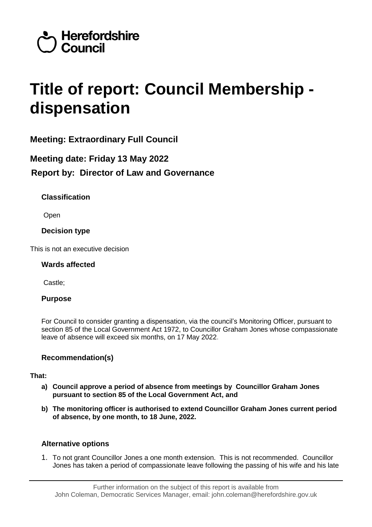

# **Title of report: Council Membership dispensation**

**Meeting: Extraordinary Full Council**

# **Meeting date: Friday 13 May 2022 Report by: Director of Law and Governance**

# **Classification**

Open

**Decision type**

This is not an executive decision

# **Wards affected**

Castle;

# **Purpose**

For Council to consider granting a dispensation, via the council's Monitoring Officer, pursuant to section 85 of the Local Government Act 1972, to Councillor Graham Jones whose compassionate leave of absence will exceed six months, on 17 May 2022.

# **Recommendation(s)**

# **That:**

- **a) Council approve a period of absence from meetings by Councillor Graham Jones pursuant to section 85 of the Local Government Act, and**
- **b) The monitoring officer is authorised to extend Councillor Graham Jones current period of absence, by one month, to 18 June, 2022.**

# **Alternative options**

1. To not grant Councillor Jones a one month extension. This is not recommended. Councillor Jones has taken a period of compassionate leave following the passing of his wife and his late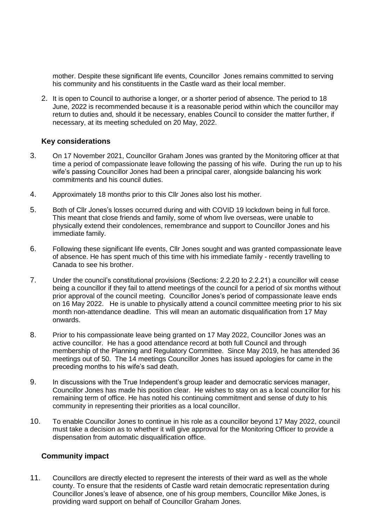mother. Despite these significant life events, Councillor Jones remains committed to serving his community and his constituents in the Castle ward as their local member.

2. It is open to Council to authorise a longer, or a shorter period of absence. The period to 18 June, 2022 is recommended because it is a reasonable period within which the councillor may return to duties and, should it be necessary, enables Council to consider the matter further, if necessary, at its meeting scheduled on 20 May, 2022.

#### **Key considerations**

- 3. On 17 November 2021, Councillor Graham Jones was granted by the Monitoring officer at that time a period of compassionate leave following the passing of his wife. During the run up to his wife's passing Councillor Jones had been a principal carer, alongside balancing his work commitments and his council duties.
- 4. Approximately 18 months prior to this Cllr Jones also lost his mother.
- 5. Both of Cllr Jones's losses occurred during and with COVID 19 lockdown being in full force. This meant that close friends and family, some of whom live overseas, were unable to physically extend their condolences, remembrance and support to Councillor Jones and his immediate family.
- 6. Following these significant life events, Cllr Jones sought and was granted compassionate leave of absence. He has spent much of this time with his immediate family - recently travelling to Canada to see his brother.
- 7. Under the council's constitutional provisions (Sections: 2.2.20 to 2.2.21) a councillor will cease being a councillor if they fail to attend meetings of the council for a period of six months without prior approval of the council meeting. Councillor Jones's period of compassionate leave ends on 16 May 2022. He is unable to physically attend a council committee meeting prior to his six month non-attendance deadline. This will mean an automatic disqualification from 17 May onwards.
- 8. Prior to his compassionate leave being granted on 17 May 2022, Councillor Jones was an active councillor. He has a good attendance record at both full Council and through membership of the Planning and Regulatory Committee. Since May 2019, he has attended 36 meetings out of 50. The 14 meetings Councillor Jones has issued apologies for came in the preceding months to his wife's sad death.
- 9. In discussions with the True Independent's group leader and democratic services manager, Councillor Jones has made his position clear. He wishes to stay on as a local councillor for his remaining term of office. He has noted his continuing commitment and sense of duty to his community in representing their priorities as a local councillor.
- 10. To enable Councillor Jones to continue in his role as a councillor beyond 17 May 2022, council must take a decision as to whether it will give approval for the Monitoring Officer to provide a dispensation from automatic disqualification office.

# **Community impact**

11. Councillors are directly elected to represent the interests of their ward as well as the whole county. To ensure that the residents of Castle ward retain democratic representation during Councillor Jones's leave of absence, one of his group members, Councillor Mike Jones, is providing ward support on behalf of Councillor Graham Jones.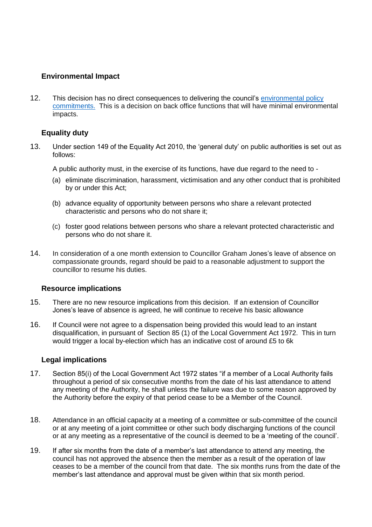# **Environmental Impact**

12. This decision has no direct consequences to delivering the council's environmental policy [commitments.](https://www.herefordshire.gov.uk/download/downloads/id/8985/environmental_policy_2019.pdf) This is a decision on back office functions that will have minimal environmental impacts.

# **Equality duty**

13. Under section 149 of the Equality Act 2010, the 'general duty' on public authorities is set out as follows:

A public authority must, in the exercise of its functions, have due regard to the need to -

- (a) eliminate discrimination, harassment, victimisation and any other conduct that is prohibited by or under this Act;
- (b) advance equality of opportunity between persons who share a relevant protected characteristic and persons who do not share it;
- (c) foster good relations between persons who share a relevant protected characteristic and persons who do not share it.
- 14. In consideration of a one month extension to Councillor Graham Jones's leave of absence on compassionate grounds, regard should be paid to a reasonable adjustment to support the councillor to resume his duties.

# **Resource implications**

- 15. There are no new resource implications from this decision. If an extension of Councillor Jones's leave of absence is agreed, he will continue to receive his basic allowance
- 16. If Council were not agree to a dispensation being provided this would lead to an instant disqualification, in pursuant of Section 85 (1) of the Local Government Act 1972. This in turn would trigger a local by-election which has an indicative cost of around £5 to 6k

# **Legal implications**

- 17. Section 85(i) of the Local Government Act 1972 states "if a member of a Local Authority fails throughout a period of six consecutive months from the date of his last attendance to attend any meeting of the Authority, he shall unless the failure was due to some reason approved by the Authority before the expiry of that period cease to be a Member of the Council.
- 18. Attendance in an official capacity at a meeting of a committee or sub-committee of the council or at any meeting of a joint committee or other such body discharging functions of the council or at any meeting as a representative of the council is deemed to be a 'meeting of the council'.
- 19. If after six months from the date of a member's last attendance to attend any meeting, the council has not approved the absence then the member as a result of the operation of law ceases to be a member of the council from that date. The six months runs from the date of the member's last attendance and approval must be given within that six month period.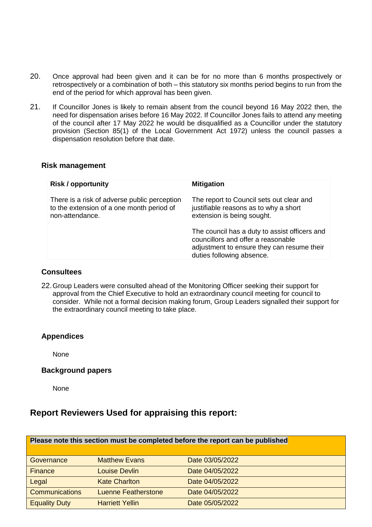- 20. Once approval had been given and it can be for no more than 6 months prospectively or retrospectively or a combination of both – this statutory six months period begins to run from the end of the period for which approval has been given.
- 21. If Councillor Jones is likely to remain absent from the council beyond 16 May 2022 then, the need for dispensation arises before 16 May 2022. If Councillor Jones fails to attend any meeting of the council after 17 May 2022 he would be disqualified as a Councillor under the statutory provision (Section 85(1) of the Local Government Act 1972) unless the council passes a dispensation resolution before that date.

#### **Risk management**

| <b>Risk / opportunity</b>                                                                                    | <b>Mitigation</b>                                                                                                                                              |
|--------------------------------------------------------------------------------------------------------------|----------------------------------------------------------------------------------------------------------------------------------------------------------------|
| There is a risk of adverse public perception<br>to the extension of a one month period of<br>non-attendance. | The report to Council sets out clear and<br>justifiable reasons as to why a short<br>extension is being sought.                                                |
|                                                                                                              | The council has a duty to assist officers and<br>councillors and offer a reasonable<br>adjustment to ensure they can resume their<br>duties following absence. |

#### **Consultees**

22.Group Leaders were consulted ahead of the Monitoring Officer seeking their support for approval from the Chief Executive to hold an extraordinary council meeting for council to consider. While not a formal decision making forum, Group Leaders signalled their support for the extraordinary council meeting to take place.

# **Appendices**

None

# **Background papers**

None

# **Report Reviewers Used for appraising this report:**

| Please note this section must be completed before the report can be published |                            |                 |
|-------------------------------------------------------------------------------|----------------------------|-----------------|
| Governance                                                                    | <b>Matthew Evans</b>       | Date 03/05/2022 |
| Finance                                                                       | Louise Devlin              | Date 04/05/2022 |
| Legal                                                                         | <b>Kate Charlton</b>       | Date 04/05/2022 |
| <b>Communications</b>                                                         | <b>Luenne Featherstone</b> | Date 04/05/2022 |
| <b>Equality Duty</b>                                                          | <b>Harriett Yellin</b>     | Date 05/05/2022 |